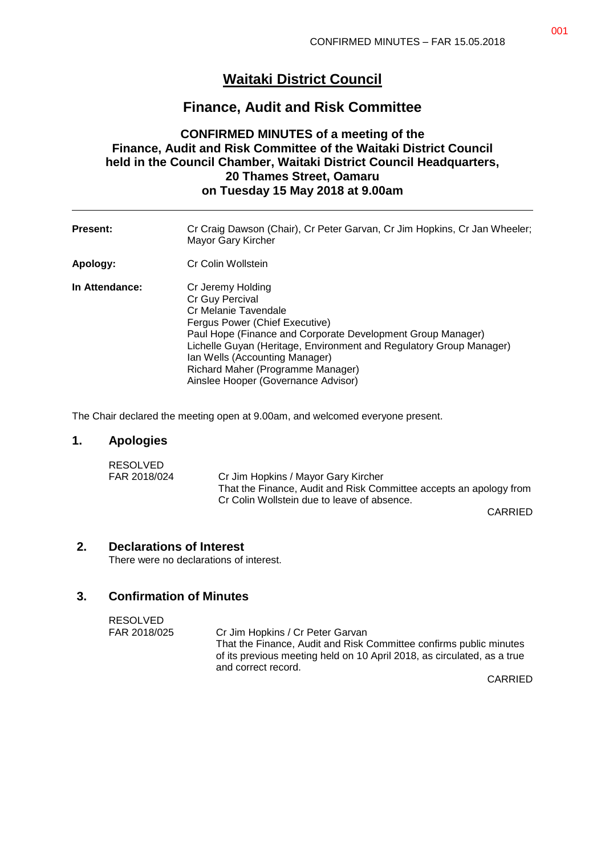# **Waitaki District Council**

# **Finance, Audit and Risk Committee**

## **CONFIRMED MINUTES of a meeting of the Finance, Audit and Risk Committee of the Waitaki District Council held in the Council Chamber, Waitaki District Council Headquarters, 20 Thames Street, Oamaru on Tuesday 15 May 2018 at 9.00am**

| <b>Present:</b> | Cr Craig Dawson (Chair), Cr Peter Garvan, Cr Jim Hopkins, Cr Jan Wheeler;<br>Mayor Gary Kircher                                                                                                                                                                                                                                                    |
|-----------------|----------------------------------------------------------------------------------------------------------------------------------------------------------------------------------------------------------------------------------------------------------------------------------------------------------------------------------------------------|
| Apology:        | Cr Colin Wollstein                                                                                                                                                                                                                                                                                                                                 |
| In Attendance:  | Cr Jeremy Holding<br>Cr Guy Percival<br>Cr Melanie Tavendale<br>Fergus Power (Chief Executive)<br>Paul Hope (Finance and Corporate Development Group Manager)<br>Lichelle Guyan (Heritage, Environment and Regulatory Group Manager)<br>Ian Wells (Accounting Manager)<br>Richard Maher (Programme Manager)<br>Ainslee Hooper (Governance Advisor) |

The Chair declared the meeting open at 9.00am, and welcomed everyone present.

### **1. Apologies**

| <b>RESOLVED</b> |                                                                    |
|-----------------|--------------------------------------------------------------------|
| FAR 2018/024    | Cr Jim Hopkins / Mayor Gary Kircher                                |
|                 | That the Finance, Audit and Risk Committee accepts an apology from |
|                 | Cr Colin Wollstein due to leave of absence.                        |

CARRIED

### **2. Declarations of Interest**

There were no declarations of interest.

## **3. Confirmation of Minutes**

| <b>RESOLVED</b> |                                                                                                                                               |
|-----------------|-----------------------------------------------------------------------------------------------------------------------------------------------|
| FAR 2018/025    | Cr Jim Hopkins / Cr Peter Garvan                                                                                                              |
|                 | That the Finance, Audit and Risk Committee confirms public minutes<br>of its previous meeting held on 10 April 2018, as circulated, as a true |
|                 | and correct record.                                                                                                                           |

CARRIED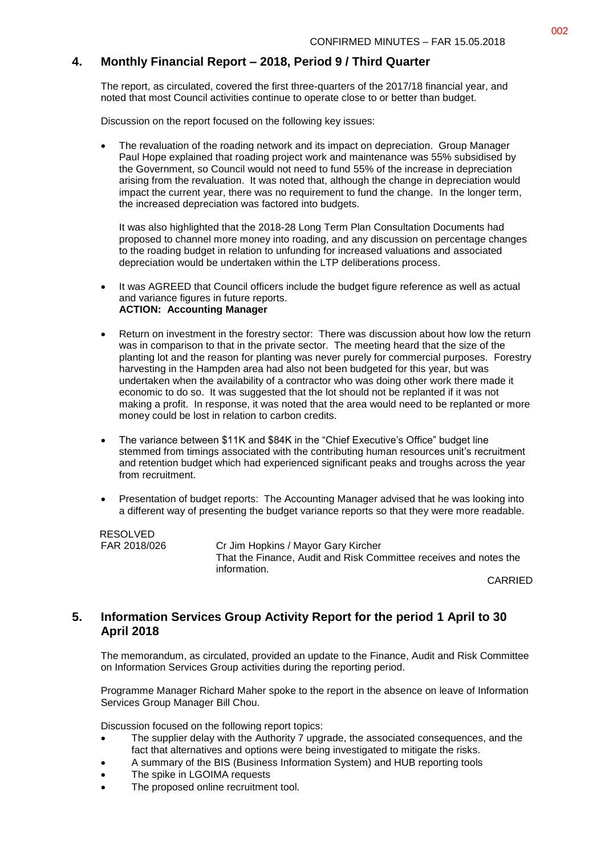## **4. Monthly Financial Report – 2018, Period 9 / Third Quarter**

The report, as circulated, covered the first three-quarters of the 2017/18 financial year, and noted that most Council activities continue to operate close to or better than budget.

Discussion on the report focused on the following key issues:

 The revaluation of the roading network and its impact on depreciation. Group Manager Paul Hope explained that roading project work and maintenance was 55% subsidised by the Government, so Council would not need to fund 55% of the increase in depreciation arising from the revaluation. It was noted that, although the change in depreciation would impact the current year, there was no requirement to fund the change. In the longer term, the increased depreciation was factored into budgets.

It was also highlighted that the 2018-28 Long Term Plan Consultation Documents had proposed to channel more money into roading, and any discussion on percentage changes to the roading budget in relation to unfunding for increased valuations and associated depreciation would be undertaken within the LTP deliberations process.

- It was AGREED that Council officers include the budget figure reference as well as actual and variance figures in future reports. **ACTION: Accounting Manager**
- Return on investment in the forestry sector: There was discussion about how low the return was in comparison to that in the private sector. The meeting heard that the size of the planting lot and the reason for planting was never purely for commercial purposes. Forestry harvesting in the Hampden area had also not been budgeted for this year, but was undertaken when the availability of a contractor who was doing other work there made it economic to do so. It was suggested that the lot should not be replanted if it was not making a profit. In response, it was noted that the area would need to be replanted or more money could be lost in relation to carbon credits.
- The variance between \$11K and \$84K in the "Chief Executive's Office" budget line stemmed from timings associated with the contributing human resources unit's recruitment and retention budget which had experienced significant peaks and troughs across the year from recruitment.
- Presentation of budget reports: The Accounting Manager advised that he was looking into a different way of presenting the budget variance reports so that they were more readable.

RESOLVED

FAR 2018/026 Cr Jim Hopkins / Mayor Gary Kircher That the Finance, Audit and Risk Committee receives and notes the information.

CARRIED

#### **5. Information Services Group Activity Report for the period 1 April to 30 April 2018**

The memorandum, as circulated, provided an update to the Finance, Audit and Risk Committee on Information Services Group activities during the reporting period.

Programme Manager Richard Maher spoke to the report in the absence on leave of Information Services Group Manager Bill Chou.

Discussion focused on the following report topics:

- The supplier delay with the Authority 7 upgrade, the associated consequences, and the fact that alternatives and options were being investigated to mitigate the risks.
- A summary of the BIS (Business Information System) and HUB reporting tools
- The spike in LGOIMA requests
- The proposed online recruitment tool.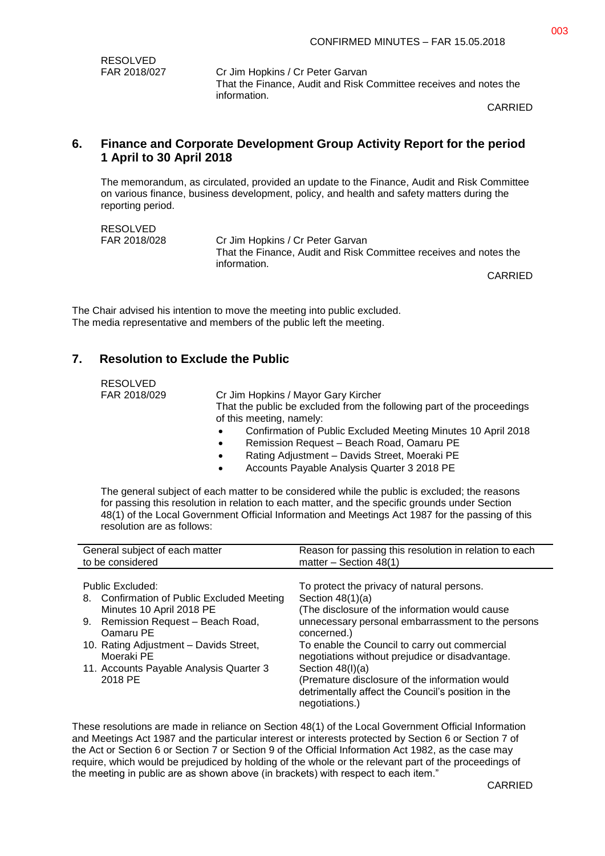| RESOLVED     |  |  |
|--------------|--|--|
| FAR 2018/027 |  |  |

Cr Jim Hopkins / Cr Peter Garvan That the Finance, Audit and Risk Committee receives and notes the information.

CARRIED

#### **6. Finance and Corporate Development Group Activity Report for the period 1 April to 30 April 2018**

The memorandum, as circulated, provided an update to the Finance, Audit and Risk Committee on various finance, business development, policy, and health and safety matters during the reporting period.

RESOLVED<br>FAR 2018/028

Cr Jim Hopkins / Cr Peter Garvan That the Finance, Audit and Risk Committee receives and notes the information.

CARRIED

The Chair advised his intention to move the meeting into public excluded. The media representative and members of the public left the meeting.

### **7. Resolution to Exclude the Public**

| <b>RESOLVED</b> |                                                                            |
|-----------------|----------------------------------------------------------------------------|
| FAR 2018/029    | Cr Jim Hopkins / Mayor Gary Kircher                                        |
|                 | That the public be excluded from the following part of the proceedings     |
|                 | of this meeting, namely:                                                   |
|                 | Confirmation of Public Excluded Meeting Minutes 10 April 2018<br>$\bullet$ |
|                 | Remission Request - Beach Road, Oamaru PE<br>$\bullet$                     |
|                 | Rating Adjustment - Davids Street, Moeraki PE<br>$\bullet$                 |
|                 |                                                                            |

Accounts Payable Analysis Quarter 3 2018 PE

The general subject of each matter to be considered while the public is excluded; the reasons for passing this resolution in relation to each matter, and the specific grounds under Section 48(1) of the Local Government Official Information and Meetings Act 1987 for the passing of this resolution are as follows:

| General subject of each matter                                                                                                                                                                                                                              | Reason for passing this resolution in relation to each                                                                                                                                                                                                                                                                                                                                                                                     |
|-------------------------------------------------------------------------------------------------------------------------------------------------------------------------------------------------------------------------------------------------------------|--------------------------------------------------------------------------------------------------------------------------------------------------------------------------------------------------------------------------------------------------------------------------------------------------------------------------------------------------------------------------------------------------------------------------------------------|
| to be considered                                                                                                                                                                                                                                            | matter $-$ Section 48(1)                                                                                                                                                                                                                                                                                                                                                                                                                   |
| Public Excluded:<br>8. Confirmation of Public Excluded Meeting<br>Minutes 10 April 2018 PE<br>9. Remission Request - Beach Road,<br>Oamaru PE<br>10. Rating Adjustment - Davids Street,<br>Moeraki PE<br>11. Accounts Payable Analysis Quarter 3<br>2018 PE | To protect the privacy of natural persons.<br>Section $48(1)(a)$<br>(The disclosure of the information would cause<br>unnecessary personal embarrassment to the persons<br>concerned.)<br>To enable the Council to carry out commercial<br>negotiations without prejudice or disadvantage.<br>Section $48(l)(a)$<br>(Premature disclosure of the information would<br>detrimentally affect the Council's position in the<br>negotiations.) |

These resolutions are made in reliance on Section 48(1) of the Local Government Official Information and Meetings Act 1987 and the particular interest or interests protected by Section 6 or Section 7 of the Act or Section 6 or Section 7 or Section 9 of the Official Information Act 1982, as the case may require, which would be prejudiced by holding of the whole or the relevant part of the proceedings of the meeting in public are as shown above (in brackets) with respect to each item."